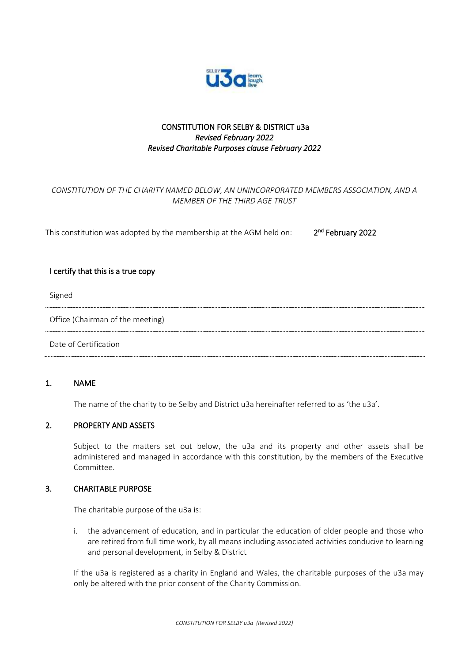

## CONSTITUTION FOR SELBY & DISTRICT u3a *Revised February 2022 Revised Charitable Purposes clause February 2022*

# *CONSTITUTION OF THE CHARITY NAMED BELOW, AN UNINCORPORATED MEMBERS ASSOCIATION, AND A MEMBER OF THE THIRD AGE TRUST*

This constitution was adopted by the membership at the AGM held on: 2 <sup>nd</sup> February 2022

### I certify that this is a true copy

Signed

Office (Chairman of the meeting)

Date of Certification

#### 1. NAME

The name of the charity to be Selby and District u3a hereinafter referred to as 'the u3a'.

### 2. PROPERTY AND ASSETS

Subject to the matters set out below, the u3a and its property and other assets shall be administered and managed in accordance with this constitution, by the members of the Executive Committee.

#### 3. CHARITABLE PURPOSE

The charitable purpose of the u3a is:

i. the advancement of education, and in particular the education of older people and those who are retired from full time work, by all means including associated activities conducive to learning and personal development, in Selby & District

If the u3a is registered as a charity in England and Wales, the charitable purposes of the u3a may only be altered with the prior consent of the Charity Commission.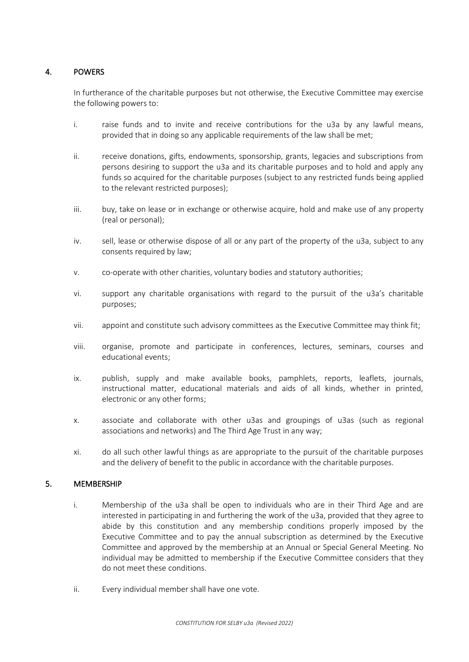# 4. POWERS

In furtherance of the charitable purposes but not otherwise, the Executive Committee may exercise the following powers to:

- i. raise funds and to invite and receive contributions for the u3a by any lawful means, provided that in doing so any applicable requirements of the law shall be met;
- ii. receive donations, gifts, endowments, sponsorship, grants, legacies and subscriptions from persons desiring to support the u3a and its charitable purposes and to hold and apply any funds so acquired for the charitable purposes (subject to any restricted funds being applied to the relevant restricted purposes);
- iii. buy, take on lease or in exchange or otherwise acquire, hold and make use of any property (real or personal);
- iv. sell, lease or otherwise dispose of all or any part of the property of the u3a, subject to any consents required by law;
- v. co-operate with other charities, voluntary bodies and statutory authorities;
- vi. support any charitable organisations with regard to the pursuit of the u3a's charitable purposes;
- vii. appoint and constitute such advisory committees as the Executive Committee may think fit;
- viii. organise, promote and participate in conferences, lectures, seminars, courses and educational events;
- ix. publish, supply and make available books, pamphlets, reports, leaflets, journals, instructional matter, educational materials and aids of all kinds, whether in printed, electronic or any other forms;
- x. associate and collaborate with other u3as and groupings of u3as (such as regional associations and networks) and The Third Age Trust in any way;
- xi. do all such other lawful things as are appropriate to the pursuit of the charitable purposes and the delivery of benefit to the public in accordance with the charitable purposes.

### 5. MEMBERSHIP

- i. Membership of the u3a shall be open to individuals who are in their Third Age and are interested in participating in and furthering the work of the u3a, provided that they agree to abide by this constitution and any membership conditions properly imposed by the Executive Committee and to pay the annual subscription as determined by the Executive Committee and approved by the membership at an Annual or Special General Meeting. No individual may be admitted to membership if the Executive Committee considers that they do not meet these conditions.
- ii. Every individual member shall have one vote.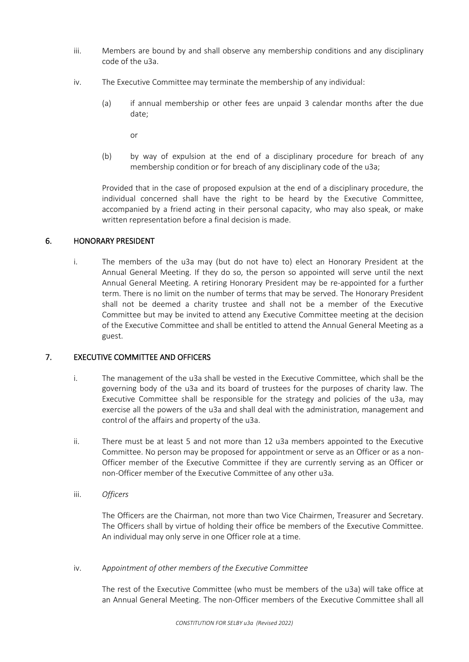- iii. Members are bound by and shall observe any membership conditions and any disciplinary code of the u3a.
- iv. The Executive Committee may terminate the membership of any individual:
	- (a) if annual membership or other fees are unpaid 3 calendar months after the due date;

or

(b) by way of expulsion at the end of a disciplinary procedure for breach of any membership condition or for breach of any disciplinary code of the u3a;

Provided that in the case of proposed expulsion at the end of a disciplinary procedure, the individual concerned shall have the right to be heard by the Executive Committee, accompanied by a friend acting in their personal capacity, who may also speak, or make written representation before a final decision is made.

# 6. HONORARY PRESIDENT

i. The members of the u3a may (but do not have to) elect an Honorary President at the Annual General Meeting. If they do so, the person so appointed will serve until the next Annual General Meeting. A retiring Honorary President may be re-appointed for a further term. There is no limit on the number of terms that may be served. The Honorary President shall not be deemed a charity trustee and shall not be a member of the Executive Committee but may be invited to attend any Executive Committee meeting at the decision of the Executive Committee and shall be entitled to attend the Annual General Meeting as a guest.

# 7. EXECUTIVE COMMITTEE AND OFFICERS

- i. The management of the u3a shall be vested in the Executive Committee, which shall be the governing body of the u3a and its board of trustees for the purposes of charity law. The Executive Committee shall be responsible for the strategy and policies of the u3a, may exercise all the powers of the u3a and shall deal with the administration, management and control of the affairs and property of the u3a.
- ii. There must be at least 5 and not more than 12 u3a members appointed to the Executive Committee. No person may be proposed for appointment or serve as an Officer or as a non-Officer member of the Executive Committee if they are currently serving as an Officer or non-Officer member of the Executive Committee of any other u3a.
- iii. *Officers*

The Officers are the Chairman, not more than two Vice Chairmen, Treasurer and Secretary. The Officers shall by virtue of holding their office be members of the Executive Committee. An individual may only serve in one Officer role at a time.

iv. A*ppointment of other members of the Executive Committee*

The rest of the Executive Committee (who must be members of the u3a) will take office at an Annual General Meeting. The non-Officer members of the Executive Committee shall all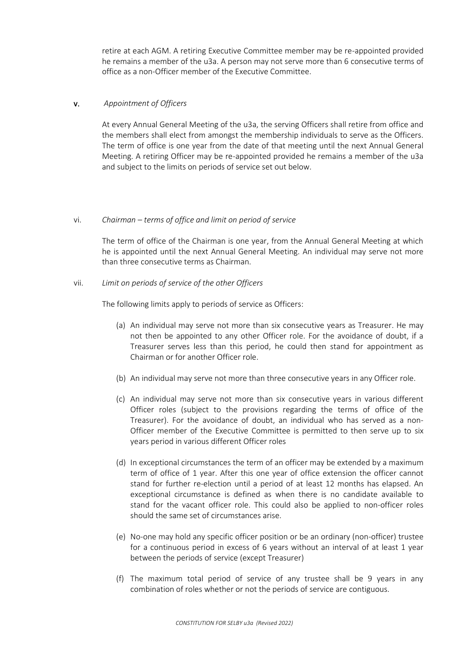retire at each AGM. A retiring Executive Committee member may be re-appointed provided he remains a member of the u3a. A person may not serve more than 6 consecutive terms of office as a non-Officer member of the Executive Committee.

### v. *Appointment of Officers*

At every Annual General Meeting of the u3a, the serving Officers shall retire from office and the members shall elect from amongst the membership individuals to serve as the Officers. The term of office is one year from the date of that meeting until the next Annual General Meeting. A retiring Officer may be re-appointed provided he remains a member of the u3a and subject to the limits on periods of service set out below.

#### vi. *Chairman – terms of office and limit on period of service*

The term of office of the Chairman is one year, from the Annual General Meeting at which he is appointed until the next Annual General Meeting. An individual may serve not more than three consecutive terms as Chairman.

vii. *Limit on periods of service of the other Officers*

The following limits apply to periods of service as Officers:

- (a) An individual may serve not more than six consecutive years as Treasurer. He may not then be appointed to any other Officer role. For the avoidance of doubt, if a Treasurer serves less than this period, he could then stand for appointment as Chairman or for another Officer role.
- (b) An individual may serve not more than three consecutive years in any Officer role.
- (c) An individual may serve not more than six consecutive years in various different Officer roles (subject to the provisions regarding the terms of office of the Treasurer). For the avoidance of doubt, an individual who has served as a non-Officer member of the Executive Committee is permitted to then serve up to six years period in various different Officer roles
- (d) In exceptional circumstances the term of an officer may be extended by a maximum term of office of 1 year. After this one year of office extension the officer cannot stand for further re-election until a period of at least 12 months has elapsed. An exceptional circumstance is defined as when there is no candidate available to stand for the vacant officer role. This could also be applied to non-officer roles should the same set of circumstances arise.
- (e) No-one may hold any specific officer position or be an ordinary (non-officer) trustee for a continuous period in excess of 6 years without an interval of at least 1 year between the periods of service (except Treasurer)
- (f) The maximum total period of service of any trustee shall be 9 years in any combination of roles whether or not the periods of service are contiguous.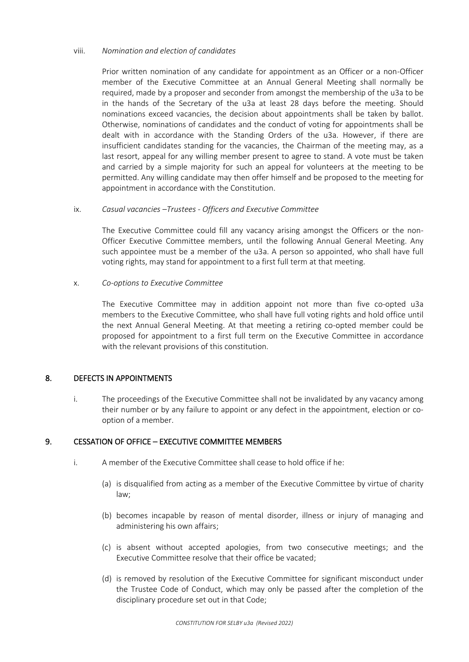#### viii. *Nomination and election of candidates*

Prior written nomination of any candidate for appointment as an Officer or a non-Officer member of the Executive Committee at an Annual General Meeting shall normally be required, made by a proposer and seconder from amongst the membership of the u3a to be in the hands of the Secretary of the u3a at least 28 days before the meeting. Should nominations exceed vacancies, the decision about appointments shall be taken by ballot. Otherwise, nominations of candidates and the conduct of voting for appointments shall be dealt with in accordance with the Standing Orders of the u3a. However, if there are insufficient candidates standing for the vacancies, the Chairman of the meeting may, as a last resort, appeal for any willing member present to agree to stand. A vote must be taken and carried by a simple majority for such an appeal for volunteers at the meeting to be permitted. Any willing candidate may then offer himself and be proposed to the meeting for appointment in accordance with the Constitution.

#### ix. *Casual vacancies –Trustees - Officers and Executive Committee*

The Executive Committee could fill any vacancy arising amongst the Officers or the non-Officer Executive Committee members, until the following Annual General Meeting. Any such appointee must be a member of the u3a. A person so appointed, who shall have full voting rights, may stand for appointment to a first full term at that meeting.

#### x. *Co-options to Executive Committee*

The Executive Committee may in addition appoint not more than five co-opted u3a members to the Executive Committee, who shall have full voting rights and hold office until the next Annual General Meeting. At that meeting a retiring co-opted member could be proposed for appointment to a first full term on the Executive Committee in accordance with the relevant provisions of this constitution.

#### 8. DEFECTS IN APPOINTMENTS

i. The proceedings of the Executive Committee shall not be invalidated by any vacancy among their number or by any failure to appoint or any defect in the appointment, election or cooption of a member.

#### 9. CESSATION OF OFFICE – EXECUTIVE COMMITTEE MEMBERS

- i. A member of the Executive Committee shall cease to hold office if he:
	- (a) is disqualified from acting as a member of the Executive Committee by virtue of charity law;
	- (b) becomes incapable by reason of mental disorder, illness or injury of managing and administering his own affairs;
	- (c) is absent without accepted apologies, from two consecutive meetings; and the Executive Committee resolve that their office be vacated;
	- (d) is removed by resolution of the Executive Committee for significant misconduct under the Trustee Code of Conduct, which may only be passed after the completion of the disciplinary procedure set out in that Code;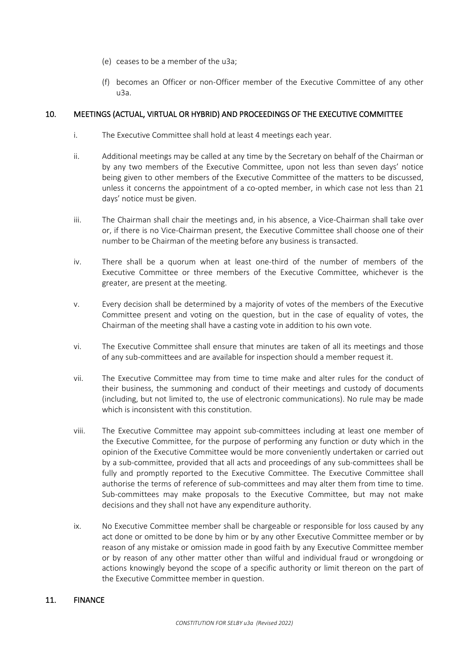- (e) ceases to be a member of the u3a;
- (f) becomes an Officer or non-Officer member of the Executive Committee of any other u3a.

### 10. MEETINGS (ACTUAL, VIRTUAL OR HYBRID) AND PROCEEDINGS OF THE EXECUTIVE COMMITTEE

- i. The Executive Committee shall hold at least 4 meetings each year.
- ii. Additional meetings may be called at any time by the Secretary on behalf of the Chairman or by any two members of the Executive Committee, upon not less than seven days' notice being given to other members of the Executive Committee of the matters to be discussed, unless it concerns the appointment of a co-opted member, in which case not less than 21 days' notice must be given.
- iii. The Chairman shall chair the meetings and, in his absence, a Vice-Chairman shall take over or, if there is no Vice-Chairman present, the Executive Committee shall choose one of their number to be Chairman of the meeting before any business is transacted.
- iv. There shall be a quorum when at least one-third of the number of members of the Executive Committee or three members of the Executive Committee, whichever is the greater, are present at the meeting.
- v. Every decision shall be determined by a majority of votes of the members of the Executive Committee present and voting on the question, but in the case of equality of votes, the Chairman of the meeting shall have a casting vote in addition to his own vote.
- vi. The Executive Committee shall ensure that minutes are taken of all its meetings and those of any sub-committees and are available for inspection should a member request it.
- vii. The Executive Committee may from time to time make and alter rules for the conduct of their business, the summoning and conduct of their meetings and custody of documents (including, but not limited to, the use of electronic communications). No rule may be made which is inconsistent with this constitution.
- viii. The Executive Committee may appoint sub-committees including at least one member of the Executive Committee, for the purpose of performing any function or duty which in the opinion of the Executive Committee would be more conveniently undertaken or carried out by a sub-committee, provided that all acts and proceedings of any sub-committees shall be fully and promptly reported to the Executive Committee. The Executive Committee shall authorise the terms of reference of sub-committees and may alter them from time to time. Sub-committees may make proposals to the Executive Committee, but may not make decisions and they shall not have any expenditure authority.
- ix. No Executive Committee member shall be chargeable or responsible for loss caused by any act done or omitted to be done by him or by any other Executive Committee member or by reason of any mistake or omission made in good faith by any Executive Committee member or by reason of any other matter other than wilful and individual fraud or wrongdoing or actions knowingly beyond the scope of a specific authority or limit thereon on the part of the Executive Committee member in question.

### 11. FINANCE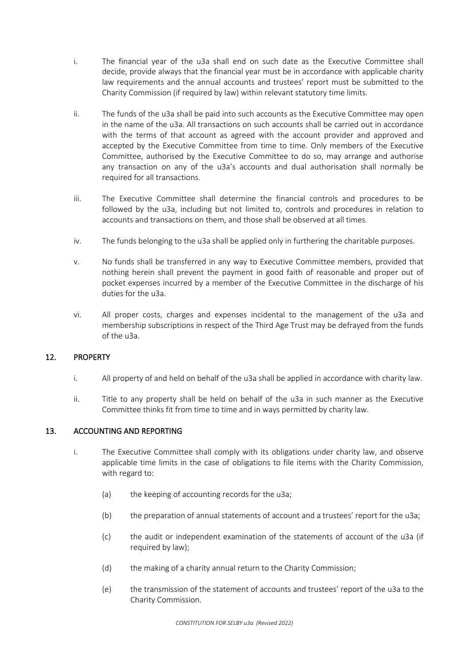- i. The financial year of the u3a shall end on such date as the Executive Committee shall decide, provide always that the financial year must be in accordance with applicable charity law requirements and the annual accounts and trustees' report must be submitted to the Charity Commission (if required by law) within relevant statutory time limits.
- ii. The funds of the u3a shall be paid into such accounts as the Executive Committee may open in the name of the u3a. All transactions on such accounts shall be carried out in accordance with the terms of that account as agreed with the account provider and approved and accepted by the Executive Committee from time to time. Only members of the Executive Committee, authorised by the Executive Committee to do so, may arrange and authorise any transaction on any of the u3a's accounts and dual authorisation shall normally be required for all transactions.
- iii. The Executive Committee shall determine the financial controls and procedures to be followed by the u3a, including but not limited to, controls and procedures in relation to accounts and transactions on them, and those shall be observed at all times.
- iv. The funds belonging to the u3a shall be applied only in furthering the charitable purposes.
- v. No funds shall be transferred in any way to Executive Committee members, provided that nothing herein shall prevent the payment in good faith of reasonable and proper out of pocket expenses incurred by a member of the Executive Committee in the discharge of his duties for the u3a.
- vi. All proper costs, charges and expenses incidental to the management of the u3a and membership subscriptions in respect of the Third Age Trust may be defrayed from the funds of the u3a.

### 12. PROPERTY

- i. All property of and held on behalf of the u3a shall be applied in accordance with charity law.
- ii. Title to any property shall be held on behalf of the u3a in such manner as the Executive Committee thinks fit from time to time and in ways permitted by charity law.

### 13. ACCOUNTING AND REPORTING

- i. The Executive Committee shall comply with its obligations under charity law, and observe applicable time limits in the case of obligations to file items with the Charity Commission, with regard to:
	- (a) the keeping of accounting records for the u3a;
	- (b) the preparation of annual statements of account and a trustees' report for the u3a;
	- (c) the audit or independent examination of the statements of account of the u3a (if required by law);
	- (d) the making of a charity annual return to the Charity Commission;
	- (e) the transmission of the statement of accounts and trustees' report of the u3a to the Charity Commission.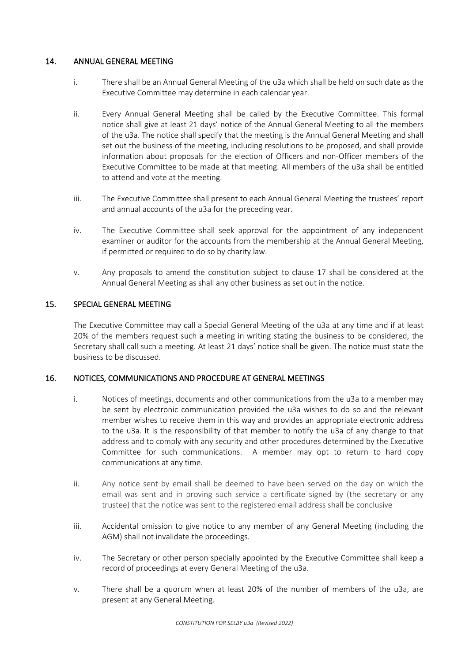### 14. ANNUAL GENERAL MEETING

- i. There shall be an Annual General Meeting of the u3a which shall be held on such date as the Executive Committee may determine in each calendar year.
- ii. Every Annual General Meeting shall be called by the Executive Committee. This formal notice shall give at least 21 days' notice of the Annual General Meeting to all the members of the u3a. The notice shall specify that the meeting is the Annual General Meeting and shall set out the business of the meeting, including resolutions to be proposed, and shall provide information about proposals for the election of Officers and non-Officer members of the Executive Committee to be made at that meeting. All members of the u3a shall be entitled to attend and vote at the meeting.
- iii. The Executive Committee shall present to each Annual General Meeting the trustees' report and annual accounts of the u3a for the preceding year.
- iv. The Executive Committee shall seek approval for the appointment of any independent examiner or auditor for the accounts from the membership at the Annual General Meeting, if permitted or required to do so by charity law.
- v. Any proposals to amend the constitution subject to clause 17 shall be considered at the Annual General Meeting as shall any other business as set out in the notice.

# 15. SPECIAL GENERAL MEETING

The Executive Committee may call a Special General Meeting of the u3a at any time and if at least 20% of the members request such a meeting in writing stating the business to be considered, the Secretary shall call such a meeting. At least 21 days' notice shall be given. The notice must state the business to be discussed.

### 16. NOTICES, COMMUNICATIONS AND PROCEDURE AT GENERAL MEETINGS

- i. Notices of meetings, documents and other communications from the u3a to a member may be sent by electronic communication provided the u3a wishes to do so and the relevant member wishes to receive them in this way and provides an appropriate electronic address to the u3a. It is the responsibility of that member to notify the u3a of any change to that address and to comply with any security and other procedures determined by the Executive Committee for such communications. A member may opt to return to hard copy communications at any time.
- ii. Any notice sent by email shall be deemed to have been served on the day on which the email was sent and in proving such service a certificate signed by (the secretary or any trustee) that the notice was sent to the registered email address shall be conclusive
- iii. Accidental omission to give notice to any member of any General Meeting (including the AGM) shall not invalidate the proceedings.
- iv. The Secretary or other person specially appointed by the Executive Committee shall keep a record of proceedings at every General Meeting of the u3a.
- v. There shall be a quorum when at least 20% of the number of members of the u3a, are present at any General Meeting.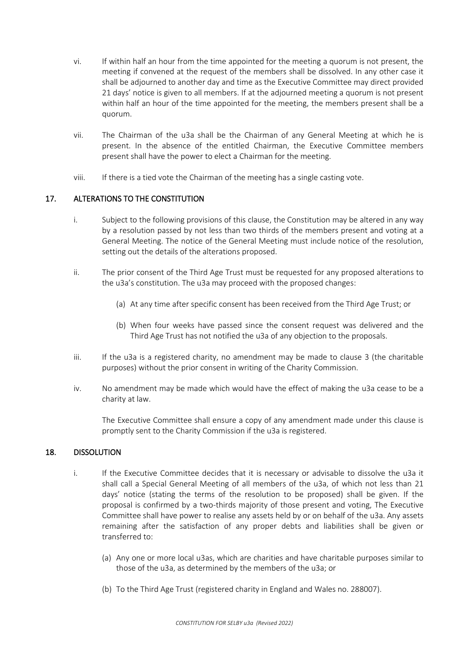- vi. If within half an hour from the time appointed for the meeting a quorum is not present, the meeting if convened at the request of the members shall be dissolved. In any other case it shall be adjourned to another day and time as the Executive Committee may direct provided 21 days' notice is given to all members. If at the adjourned meeting a quorum is not present within half an hour of the time appointed for the meeting, the members present shall be a quorum.
- vii. The Chairman of the u3a shall be the Chairman of any General Meeting at which he is present. In the absence of the entitled Chairman, the Executive Committee members present shall have the power to elect a Chairman for the meeting.
- viii. If there is a tied vote the Chairman of the meeting has a single casting vote.

### 17. ALTERATIONS TO THE CONSTITUTION

- i. Subject to the following provisions of this clause, the Constitution may be altered in any way by a resolution passed by not less than two thirds of the members present and voting at a General Meeting. The notice of the General Meeting must include notice of the resolution, setting out the details of the alterations proposed.
- ii. The prior consent of the Third Age Trust must be requested for any proposed alterations to the u3a's constitution. The u3a may proceed with the proposed changes:
	- (a) At any time after specific consent has been received from the Third Age Trust; or
	- (b) When four weeks have passed since the consent request was delivered and the Third Age Trust has not notified the u3a of any objection to the proposals.
- iii. If the u3a is a registered charity, no amendment may be made to clause 3 (the charitable purposes) without the prior consent in writing of the Charity Commission.
- iv. No amendment may be made which would have the effect of making the u3a cease to be a charity at law.

The Executive Committee shall ensure a copy of any amendment made under this clause is promptly sent to the Charity Commission if the u3a is registered.

#### 18. DISSOLUTION

- i. If the Executive Committee decides that it is necessary or advisable to dissolve the u3a it shall call a Special General Meeting of all members of the u3a, of which not less than 21 days' notice (stating the terms of the resolution to be proposed) shall be given. If the proposal is confirmed by a two-thirds majority of those present and voting, The Executive Committee shall have power to realise any assets held by or on behalf of the u3a. Any assets remaining after the satisfaction of any proper debts and liabilities shall be given or transferred to:
	- (a) Any one or more local u3as, which are charities and have charitable purposes similar to those of the u3a, as determined by the members of the u3a; or
	- (b) To the Third Age Trust (registered charity in England and Wales no. 288007).